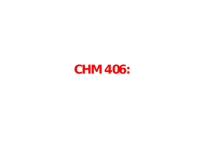#### **CHM 406:**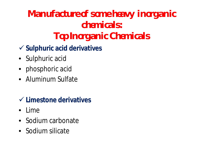#### **Manufacture of some heavy inorganic chemicals: Top Inorganic Chemicals**

- **Sulphuric acid derivatives**
- Sulphuric acid
- phosphoric acid
- Aluminum Sulfate

#### **Limestone derivatives**

- Lime
- Sodium carbonate
- Sodium silicate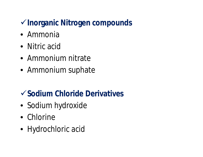#### **Inorganic Nitrogen compounds**

- Ammonia
- Nitric acid
- Ammonium nitrate
- Ammonium suphate

#### **Sodium Chloride Derivatives**

- Sodium hydroxide
- Chlorine
- Hydrochloric acid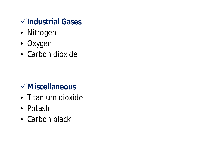#### **Industrial Gases**

- Nitrogen
- Oxygen
- Carbon dioxide

#### **Miscellaneous**

- Titanium dioxide
- Potash
- Carbon black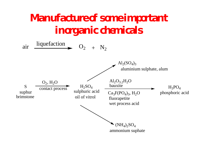#### **Manufacture of some important inorganic chemicals**

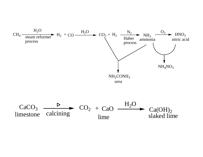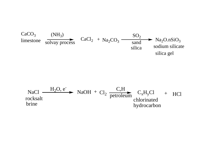

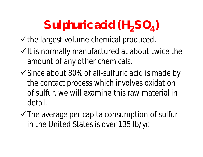# **Sulphuric acid (H2SO<sup>4</sup> )**

 $\checkmark$  the largest volume chemical produced.

- $\checkmark$  It is normally manufactured at about twice the amount of any other chemicals.
- $\checkmark$  Since about 80% of all-sulfuric acid is made by the contact process which involves oxidation of sulfur, we will examine this raw material in detail.
- $\checkmark$  The average per capita consumption of sulfur in the United States is over 135 lb/yr.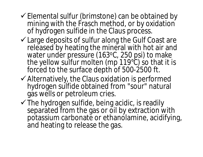- $\checkmark$  Elemental sulfur (brimstone) can be obtained by mining with the Frasch method, or by oxidation of hydrogen sulfide in the Claus process.
- $\checkmark$  Large deposits of sulfur along the Gulf Coast are released by heating the mineral with hot air and water under pressure (163°C, 250 psi) to make the yellow sulfur molten (mp 119°C) so that it is forced to the surface depth of 500-2500 ft.
- $\checkmark$  Alternatively, the Claus oxidation is performed hydrogen sulfide obtained from "sour" natural gas wells or petroleum cries.
- $\checkmark$  The hydrogen sulfide, being acidic, is readily separated from the gas or oil by extraction with potassium carbonate or ethanolamine, acidifying, and heating to release the gas.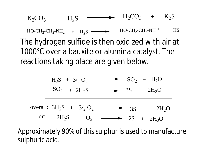The hydrogen sulfide is then oxidized with air at 1000°C over a bauxite or alumina catalyst. The reactions taking place are given below.  $K_2CO_3$  +  $H_2S$   $\longrightarrow$   $H_2CO_3$  +  $K_2S$  $HO-CH_2-CH_2-NH_2 + H_2S \longrightarrow HO-CH_2-CH_2-NH_3^+ + HS^-$ 

$$
H_2S + 3/2O_2 \longrightarrow SO_2 + H_2O
$$
  
\n
$$
SO_2 + 2H_2S \longrightarrow 3S + 2H_2O
$$
  
\noverall:  $3H_2S + 3/2O_2 \longrightarrow 3S + 2H_2O$   
\nor:  $2H_2S + O_2 \longrightarrow 2S + 2H_2O$ 

Approximately 90% of this sulphur is used to manufacture sulphuric acid.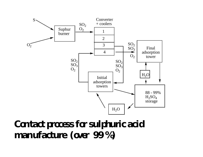

#### **Contact process for sulphuric acid manufacture (over 99 %)**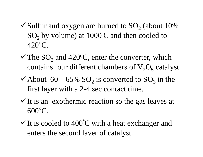- $\checkmark$  Sulfur and oxygen are burned to SO<sub>2</sub> (about 10%)  $SO<sub>2</sub>$  by volume) at 1000 $^{\circ}$ C and then cooled to 420°C.
- $\checkmark$  The SO<sub>2</sub> and 420°C, enter the converter, which contains four different chambers of  $V_2O_5$  catalyst.
- $\checkmark$  About 60 65% SO<sub>2</sub> is converted to SO<sub>3</sub> in the first layer with a 2-4 sec contact time.
- $\checkmark$  It is an exothermic reaction so the gas leaves at 600°C.
- $\checkmark$  It is cooled to 400°C with a heat exchanger and enters the second laver of catalyst.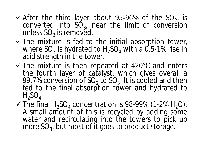- $\checkmark$  After the third layer about 95-96% of the SO<sub>2!</sub> is converted into  $SO_3$ , near the limit of conversion unless  $\mathsf{SO}_3$  is removed.
- $\checkmark$  The mixture is fed to the initial absorption tower, where  $\rm SO_3$  is hydrated to  $\rm H_2SO_4$  with a 0.5-1% rise in acid strength in the tower.
- $\checkmark$  The mixture is then repeated at 420 $\degree$ C and enters the fourth layer of catalyst, which gives overall a 99.7% conversion of  $SO_2$  to  $SO_3$ . It is cooled and then fed to the final absorption tower and hydrated to  $H_2SO_4$ .
- $\checkmark$  The final H<sub>2</sub>SO<sub>4</sub> concentration is 98-99% (1-2% H<sub>2</sub>O). A small amount of this is recycled by adding some water and recirculating into the towers to pick up more  $\mathrm{SO}_3$ , but most of it goes to product storage.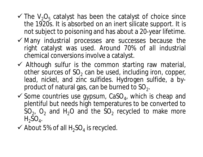- $\checkmark$  The V<sub>2</sub>O<sub>5</sub> catalyst has been the catalyst of choice since the 1920s. It is absorbed on an inert silicate support. It is not subject to poisoning and has about a 20-year lifetime.
- $\checkmark$  Many industrial processes are successes because the right catalyst was used. Around 70% of all industrial chemical conversions involve a catalyst.
- $\checkmark$  Although sulfur is the common starting raw material, other sources of  $SO_2$  can be used, including iron, copper, lead, nickel, and zinc sulfides. Hydrogen sulfide, a byproduct of natural gas, can be burned to SO<sub>2</sub>.
- $\checkmark$  Some countries use gypsum, CaSO<sub>4</sub>, which is cheap and plentiful but needs high temperatures to be converted to  $SO_{2}$ ,  $O_{2}$  and H<sub>2</sub>O and the SO<sub>2</sub> recycled to make more  $H_2SO_4$ .
- $\checkmark$  About 5% of all H<sub>2</sub>SO<sub>4</sub> is recycled.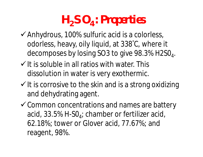# **H2SO<sup>4</sup> : Properties**

- $\checkmark$  Anhydrous, 100% sulfuric acid is a colorless, odorless, heavy, oily liquid, at 338°C, where it decomposes by losing SO3 to give 98.3% H2SO $_4$ .
- $\checkmark$  It is soluble in all ratios with water. This dissolution in water is very exothermic.
- $\checkmark$  It is corrosive to the skin and is a strong oxidizing and dehydrating agent.
- Gommon concentrations and names are battery acid, 33.5% H-SO<sub>4</sub>; chamber or fertilizer acid, 62.18%; tower or Glover acid, 77.67%; and reagent, 98%.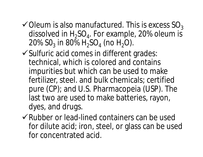- $\checkmark$  Oleum is also manufactured. This is excess SO<sub>3</sub> dissolved in  $H_2SO_4$ . For example, 20% oleum is 20%  $SO_3$  in 80%  $H_2SO_4$  (no  $H_2O$ ).
- $\checkmark$  Sulfuric acid comes in different grades: technical, which is colored and contains impurities but which can be used to make fertilizer, steel. and bulk chemicals; certified pure (CP); and U.S. Pharmacopeia (USP). The last two are used to make batteries, rayon, dyes, and drugs.
- Rubber or lead-lined containers can be used for dilute acid; iron, steel, or glass can be used for concentrated acid.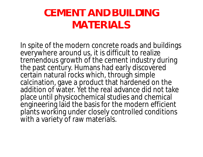#### **CEMENT AND BUILDING MATERIALS**

In spite of the modern concrete roads and buildings everywhere around us, it is difficult to realize tremendous growth of the cement industry during the past century. Humans had early discovered certain natural rocks which, through simple calcination, gave a product that hardened on the addition of water. Yet the real advance did not take place until physicochemical studies and chemical engineering laid the basis for the modern efficient plants working under closely controlled conditions with a variety of raw materials.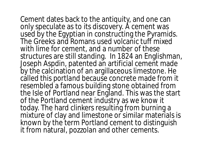Cement dates back to the antiquity, and one can only speculate as to its discovery. A cement was used by the Egyptian in constructing the Pyramids. The Greeks and Romans used volcanic tuff mixed with lime for cement, and a number of these structures are still standing. In 1824 an Englishman, Joseph Aspdin, patented an artificial cement made by the calcination of an argillaceous limestone. He called this *portland* because concrete made from it resembled a famous building stone obtained from the Isle of Portland near England. This was the start of the Portland cement industry as we know it today. The hard clinkers resulting from burning a mixture of clay and limestone or similar materials is known by the term Portland cement to distinguish it from natural, pozzolan and other cements.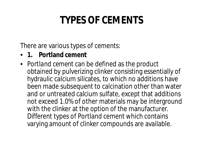## **TYPES OF CEMENTS**

There are various types of cements:

- **1. Portland cement**
- *Portland cement* can be defined as the product obtained by pulverizing clinker consisting essentially of hydraulic calcium silicates, to which no additions have been made subsequent to calcination other than water and or untreated calcium sulfate, except that additions not exceed 1.0% of other materials may be interground with the clinker at the option of the manufacturer. Different types of Portland cement which contains varying amount of clinker compounds are available.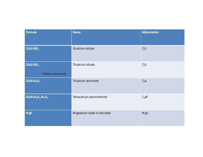| Formula                                                             | <b>Name</b>                   | Abbreviation |
|---------------------------------------------------------------------|-------------------------------|--------------|
| 2CaO.SIO <sub>2</sub>                                               | Dicalcium silicate            | $C_2S$       |
| $3$ CaO.SiO <sub>2</sub><br>Clinker compounds                       | Tricalcium silicate           | $C_3S$       |
| 3CaO.AI <sub>2</sub> O <sub>3</sub>                                 | Tricalcium aluminate          | $C_3A$       |
| 4CaO.Al <sub>2</sub> O <sub>3</sub> .Fe <sub>2</sub> O <sub>3</sub> | Tetracalcium aluminoferrite   | $C_4$ AF     |
| <b>MgO</b>                                                          | Magnesium oxide in free state | <b>MgO</b>   |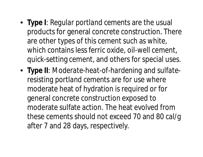- **Type I**: *Regular portland cements* are the usual products for general concrete construction. There are other types of this cement such as white, which contains less ferric oxide, oil-well cement, quick-setting cement, and others for special uses.
- **Type II**: *Moderate-heat-of-hardening* and *sulfateresisting portland cements* are for use where moderate heat of hydration is required or for general concrete construction exposed to moderate sulfate action. The heat evolved from these cements should not exceed 70 and 80 cal/g after 7 and 28 days, respectively.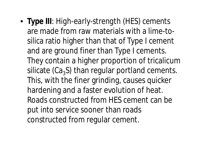• **Type III**: *High-early-strength (HES) cements* are made from raw materials with a lime-tosilica ratio higher than that of Type I cement and are ground finer than Type I cements. They contain a higher proportion of tricalicum silicate (Ca $_3$ S) than regular portland cements. This, with the finer grinding, causes quicker hardening and a faster evolution of heat. Roads constructed from HES cement can be put into service sooner than roads constructed from regular cement.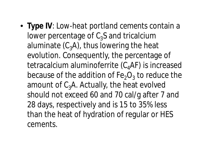• **Type IV**: *Low-heat portland cements* contain a lower percentage of  $C_3S$  and tricalcium aluminate  $(C_3A)$ , thus lowering the heat evolution. Consequently, the percentage of tetracalcium aluminoferrite  $(C_{4}AF)$  is increased because of the addition of Fe<sub>2</sub>O<sub>3</sub> to reduce the amount of  $C_3$ A. Actually, the heat evolved should not exceed 60 and 70 cal/g after 7 and 28 days, respectively and is 15 to 35% less than the heat of hydration of regular or HES cements.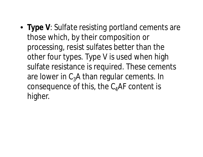• **Type V**: *Sulfate resisting portland* cements are those which, by their composition or processing, resist sulfates better than the other four types. Type V is used when high sulfate resistance is required. These cements are lower in  $C_3A$  than regular cements. In consequence of this, the  $C_4$ AF content is higher.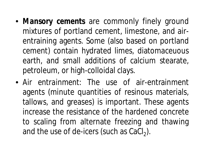- *Mansory cements* are commonly finely ground mixtures of portland cement, limestone, and airentraining agents. Some (also based on portland cement) contain hydrated limes, diatomaceuous earth, and small additions of calcium stearate, petroleum, or high-colloidal clays.
- *Air entrainment*: The use of air-entrainment agents (minute quantities of resinous materials, tallows, and greases) is important. These agents increase the resistance of the hardened concrete to scaling from alternate freezing and thawing and the use of de-icers (such as  $\text{CaCl}_2$ ).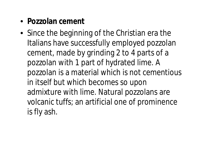- **Pozzolan cement**
- Since the beginning of the Christian era the Italians have successfully employed pozzolan cement, made by grinding 2 to 4 parts of a pozzolan with 1 part of hydrated lime. A pozzolan is a material which is not cementious in itself but which becomes so upon admixture with lime. Natural pozzolans are volcanic tuffs; an artificial one of prominence is fly ash.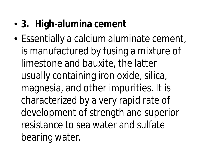#### • **3. High-alumina cement**

• Essentially a calcium aluminate cement, is manufactured by fusing a mixture of limestone and bauxite, the latter usually containing iron oxide, silica, magnesia, and other impurities. It is characterized by a very rapid rate of development of strength and superior resistance to sea water and sulfate bearing water.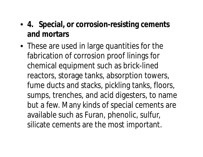#### • **4. Special, or corrosion-resisting cements and mortars**

• These are used in large quantities for the fabrication of corrosion proof linings for chemical equipment such as brick-lined reactors, storage tanks, absorption towers, fume ducts and stacks, pickling tanks, floors, sumps, trenches, and acid digesters, to name but a few. Many kinds of special cements are available such as Furan, phenolic, sulfur, silicate cements are the most important.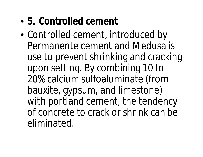- **5. Controlled cement**
- Controlled cement, introduced by Permanente cement and Medusa is use to prevent shrinking and cracking upon setting. By combining 10 to 20% calcium sulfoaluminate (from bauxite, gypsum, and limestone) with portland cement, the tendency of concrete to crack or shrink can be eliminated.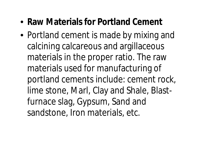#### • **Raw Materials for Portland Cement**

• Portland cement is made by mixing and calcining calcareous and argillaceous materials in the proper ratio. The raw materials used for manufacturing of portland cements include: cement rock, lime stone, Marl, Clay and Shale, Blastfurnace slag, Gypsum, Sand and sandstone, Iron materials, etc.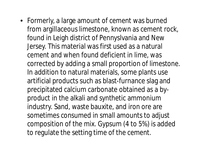• Formerly, a large amount of cement was burned from argillaceous limestone, known as cement rock, found in Leigh district of Pennyslvania and New Jersey. This material was first used as a natural cement and when found deficient in lime, was corrected by adding a small proportion of limestone. In addition to natural materials, some plants use artificial products such as blast-furnance slag and precipitated calcium carbonate obtained as a byproduct in the alkali and synthetic ammonium industry. Sand, waste bauxite, and iron ore are sometimes consumed in small amounts to adjust composition of the mix. Gypsum (4 to 5%) is added to regulate the setting time of the cement.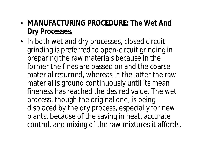- **MANUFACTURING PROCEDURE:** *The Wet And Dry Processes***.**
- In both *wet* and *dry* processes, closed circuit grinding is preferred to open-circuit grinding in preparing the raw materials because in the former the fines are passed on and the coarse material returned, whereas in the latter the raw material is ground continuously until its mean fineness has reached the desired value. The wet process, though the original one, is being displaced by the dry process, especially for new plants, because of the saving in heat, accurate control, and mixing of the raw mixtures it affords.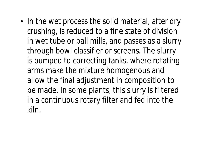• In the *wet process* the solid material, after dry crushing, is reduced to a fine state of division in wet tube or ball mills, and passes as a slurry through bowl classifier or screens. The slurry is pumped to correcting tanks, where rotating arms make the mixture homogenous and allow the final adjustment in composition to be made. In some plants, this slurry is filtered in a continuous rotary filter and fed into the kiln.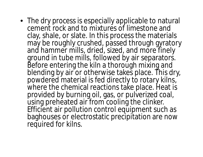• The *dry process* is especially applicable to natural cement rock and to mixtures of limestone and clay, shale, or slate. In this process the materials may be roughly crushed, passed through gyratory and hammer mills, dried, sized, and more finely ground in tube mills, followed by air separators. Before entering the kiln a thorough mixing and blending by air or otherwise takes place. This dry, powdered material is fed directly to rotary kilns, where the chemical reactions take place. Heat is provided by burning oil, gas, or pulverized coal, using preheated air from cooling the clinker. Efficient air pollution control equipment such as baghouses or electrostatic precipitation are now required for kilns.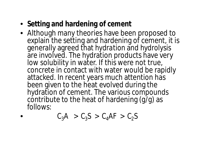- **Setting and hardening of cement**
- Although many theories have been proposed to explain the setting and hardening of cement, it is generally agreed that *hydration* and *hydrolysis* are involved. The hydration products have very low solubility in water. If this were not true, concrete in contact with water would be rapidly attacked. In recent years much attention has been given to the heat evolved during the hydration of cement. The various compounds contribute to the heat of hardening (g/g) as follows:

$$
C_3A > C_3S > C_4AF > C_2S
$$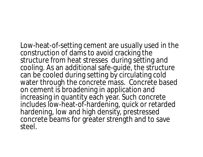Low-heat-of-setting cement are usually used in the construction of dams to avoid cracking the structure from heat stresses during setting and cooling. As an additional safe-guide, the structure can be cooled during setting by circulating cold water through the concrete mass. Concrete based on cement is broadening in application and increasing in quantity each year. Such concrete includes low-heat-of-hardening, quick or retarded hardening, low and high density, prestressed concrete beams for greater strength and to save steel.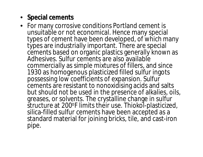#### • **Special cements**

• For many corrosive conditions Portland cement is unsuitable or not economical. Hence many special types of cement have been developed, of which many types are industrially important. There are special cements based on organic plastics generally known as Adhesives. Sulfur cements are also available commercially as simple mixtures of fillers, and since 1930 as homogenous plasticized filled sulfur ingots possessing low coefficients of expansion. Sulfur cements are resistant to nonoxidising acids and salts but should not be used in the presence of alkalies, oils, greases, or solvents. The crystalline change in sulfur structure at 200°F limits their use. Thiokol-plasticized, silica-filled sulfur cements have been accepted as a standard material for joining bricks, tile, and cast-iron pipe.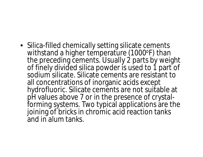• Silica-filled chemically setting silicate cements withstand a higher temperature (1000°F) than the preceding cements. Usually 2 parts by weight of finely divided silica powder is used to 1 part of sodium silicate. Silicate cements are resistant to all concentrations of inorganic acids except hydrofluoric. Silicate cements are not suitable at pH values above 7 or in the presence of crystalforming systems. Two typical applications are the joining of bricks in chromic acid reaction tanks and in alum tanks.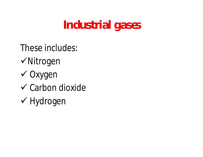## **Industrial gases**

- These includes:
- Nitrogen
- Oxygen
- $\checkmark$  Carbon dioxide
- Hydrogen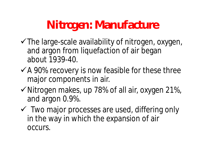## **Nitrogen: Manufacture**

- $\checkmark$  The large-scale availability of nitrogen, oxygen, and argon from liquefaction of air began about 1939-40.
- $\checkmark$  A 90% recovery is now feasible for these three major components in air.
- $\checkmark$  Nitrogen makes, up 78% of all air, oxygen 21%, and argon 0.9%.
- Two major processes are used, differing only in the way in which the expansion of air occurs.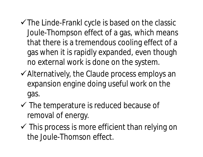- $\checkmark$  The Linde-Frankl cycle is based on the classic Joule-Thompson effect of a gas, which means that there is a tremendous cooling effect of a gas when it is rapidly expanded, even though no external work is done on the system.
- Alternatively, the Claude process employs an expansion engine doing useful work on the gas.
- $\checkmark$  The temperature is reduced because of removal of energy.
- $\checkmark$  This process is more efficient than relying on the Joule-Thomson effect.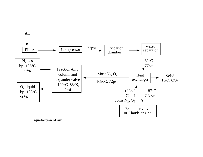

Liquefaction of air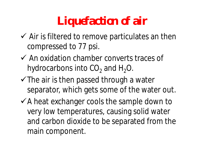# **Liquefaction of air**

- $\checkmark$  Air is filtered to remove particulates an then compressed to 77 psi.
- $\checkmark$  An oxidation chamber converts traces of hydrocarbons into CO<sub>2</sub> and H<sub>2</sub>O.
- $\checkmark$  The air is then passed through a water separator, which gets some of the water out.
- $\checkmark$  A heat exchanger cools the sample down to very low temperatures, causing solid water and carbon dioxide to be separated from the main component.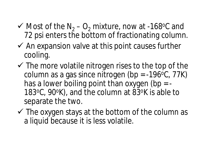- $\checkmark$  Most of the N<sub>2</sub> O<sub>2</sub> mixture, now at -168 °C and 72 psi enters the bottom of fractionating column.
- $\checkmark$  An expansion valve at this point causes further cooling.
- $\checkmark$  The more volatile nitrogen rises to the top of the column as a gas since nitrogen (bp =  $-196$ °C, 77K) has a lower boiling point than oxygen (bp  $=$  -183<sup>o</sup>C, 90<sup>o</sup>K), and the column at 83<sup>o</sup>K is able to separate the two.
- $\checkmark$  The oxygen stays at the bottom of the column as a liquid because it is less volatile.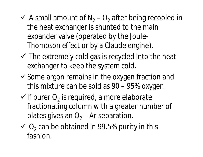- $\checkmark$  A small amount of N<sub>2</sub> O<sub>2</sub> after being recooled in the heat exchanger is shunted to the main expander valve (operated by the Joule-Thompson effect or by a Claude engine).
- $\checkmark$  The extremely cold gas is recycled into the heat exchanger to keep the system cold.
- $\checkmark$  Some argon remains in the oxygen fraction and this mixture can be sold as 90 – 95% oxygen.
- $\checkmark$  If purer  $O_2$  is required, a more elaborate fractionating column with a greater number of plates gives an  $O<sub>2</sub> - Ar$  separation.
- $\checkmark$  O<sub>2</sub> can be obtained in 99.5% purity in this fashion.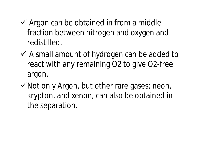- $\checkmark$  Argon can be obtained in from a middle fraction between nitrogen and oxygen and redistilled.
- $\checkmark$  A small amount of hydrogen can be added to react with any remaining O2 to give O2-free argon.
- $\checkmark$  Not only Argon, but other rare gases; neon, krypton, and xenon, can also be obtained in the separation.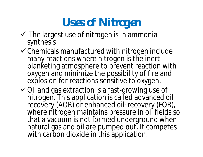## **Uses of Nitrogen**

- $\checkmark$  The largest use of nitrogen is in ammonia synthesis
- $\checkmark$  Chemicals manufactured with nitrogen include many reactions where nitrogen is the inert blanketing atmosphere to prevent reaction with oxygen and minimize the possibility of fire and explosion for reactions sensitive to oxygen.
- $\checkmark$  Oil and gas extraction is a fast-growing use of nitrogen. This application is called advanced oil recovery (AOR) or enhanced oil recovery (FOR), where nitrogen maintains pressure in oil fields so that a vacuum is not formed underground when natural gas and oil are pumped out. It competes with carbon dioxide in this application.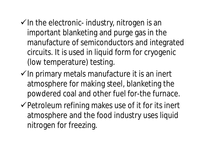- $\checkmark$  In the electronic- industry, nitrogen is an important blanketing and purge gas in the manufacture of semiconductors and integrated circuits. It is used in liquid form for cryogenic (low temperature) testing.
- $\checkmark$  In primary metals manufacture it is an inert atmosphere for making steel, blanketing the powdered coal and other fuel for-the furnace.
- $\checkmark$  Petroleum refining makes use of it for its inert atmosphere and the food industry uses liquid nitrogen for freezing.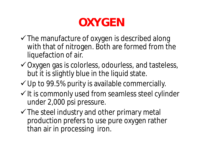## **OXYGEN**

- $\checkmark$  The manufacture of oxygen is described along with that of nitrogen. Both are formed from the liquefaction of air.
- Oxygen gas is colorless, odourless, and tasteless, but it is slightly blue in the liquid state.
- $\checkmark$  Up to 99.5% purity is available commercially.
- $\checkmark$  It is commonly used from seamless steel cylinder under 2,000 psi pressure.
- $\checkmark$  The steel industry and other primary metal production prefers to use pure oxygen rather than air in processing iron.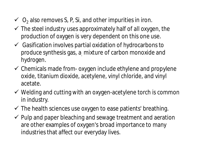- $\checkmark$  O<sub>2</sub> also removes S, P, Si, and other impurities in iron.
- $\checkmark$  The steel industry uses approximately half of all oxygen, the production of oxygen is very dependent on this one use.
- $\checkmark$  Gasification involves partial oxidation of hydrocarbons to produce synthesis gas, a. mixture of carbon monoxide and hydrogen.
- $\checkmark$  Chemicals made from- oxygen include ethylene and propylene oxide, titanium dioxide, acetylene, vinyl chloride, and vinyl acetate.
- $\checkmark$  Welding and cutting with an oxygen-acetylene torch is common in industry.
- $\checkmark$  The health sciences use oxygen to ease patients' breathing.
- $\checkmark$  Pulp and paper bleaching and sewage treatment and aeration are other examples of oxygen's broad importance to many industries that affect our everyday lives.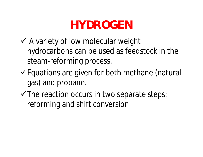## **HYDROGEN**

- $\checkmark$  A variety of low molecular weight hydrocarbons can be used as feedstock in the steam-reforming process.
- Equations are given for both methane (natural gas) and propane.
- $\checkmark$  The reaction occurs in two separate steps: reforming and shift conversion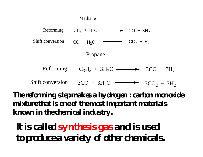

**The reforming step makes a hydrogen : carbon monoxide mixture that is one of the most important materials known in the chemical industry.**

**It is called synthesis gas and is used to produce a variety of other chemicals.**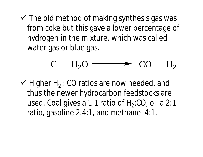$\checkmark$  The old method of making synthesis gas was from coke but this gave a lower percentage of hydrogen in the mixture, which was called water gas or blue gas.

$$
C + H_2O \longrightarrow CO + H_2
$$

 $\checkmark$  Higher H<sub>2</sub>: CO ratios are now needed, and thus the newer hydrocarbon feedstocks are used. Coal gives a 1:1 ratio of  $H_2$ :CO, oil a 2:1 ratio, gasoline 2.4:1, and methane 4:1.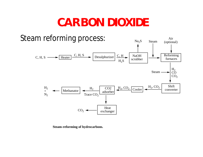#### **CARBON DIOXIDE**



**Steam-reforming of hydrocarbons.**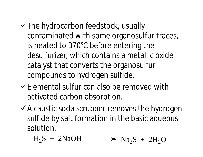- $\checkmark$  The hydrocarbon feedstock, usually contaminated with some organosulfur traces, is heated to 370°C before entering the desulfurizer, which contains a metallic oxide catalyst that converts the organosulfur compounds to hydrogen sulfide.
- $\checkmark$  Elemental sulfur can also be removed with activated carbon absorption.
- $\checkmark$  A caustic soda scrubber removes the hydrogen sulfide by salt formation in the basic aqueous solution.

 $H_2S + 2NaOH \longrightarrow Na_2S + 2H_2O$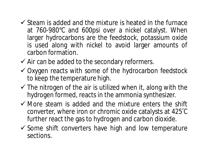- $\checkmark$  Steam is added and the mixture is heated in the furnace at 760-980°C and 600psi over a nickel catalyst. When larger hydrocarbons are the feedstock, potassium oxide is used along with nickel to avoid larger amounts of carbon formation.
- $\checkmark$  Air can be added to the secondary reformers.
- $\checkmark$  Oxygen reacts with some of the hydrocarbon feedstock to keep the temperature high.
- $\checkmark$  The nitrogen of the air is utilized when it, along with the hydrogen formed, reacts in the ammonia synthesizer.
- $\checkmark$  More steam is added and the mixture enters the shift converter, where iron or chromic oxide catalysts at 425°C further react the gas to hydrogen and carbon dioxide.
- $\checkmark$  Some shift converters have high and low temperature sections.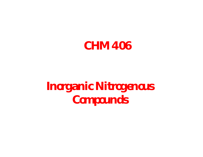

## **Inorganic Nitrogenous Compounds**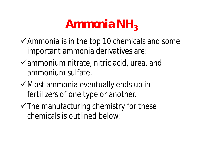## Ammonia NH<sub>3</sub>

- $\checkmark$  Ammonia is in the top 10 chemicals and some important ammonia derivatives are:
- $\checkmark$  ammonium nitrate, nitric acid, urea, and ammonium sulfate.
- $\checkmark$  Most ammonia eventually ends up in fertilizers of one type or another.
- $\checkmark$  The manufacturing chemistry for these chemicals is outlined below: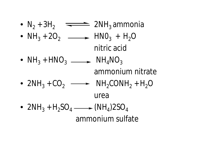•  $N_2 + 3H_2$   $\rightleftharpoons$  2NH<sub>3</sub> ammonia •  $NH_3 + 2O_2$   $\longrightarrow$   $HNO_3 + H_2O$ nitric acid •  $NH_3 + HNO_3 \longrightarrow NH_4NO_3$ ammonium nitrate •  $2NH_3 + CO_2 \longrightarrow NH_2CONH_2 + H_2O$ urea •  $2NH_3 + H_2SO_4 \longrightarrow (NH_4)2SO_4$ ammonium sulfate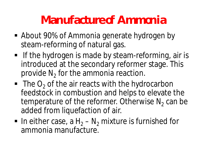## **Manufacture of Ammonia**

- About 90% of Ammonia generate hydrogen by steam-reforming of natural gas.
- **If the hydrogen is made by steam-reforming, air is** introduced at the secondary reformer stage. This provide  $\mathsf{N}_2$  for the ammonia reaction.
- $\blacksquare$  The O<sub>2</sub> of the air reacts with the hydrocarbon feedstock in combustion and helps to elevate the temperature of the reformer. Otherwise  $N_2$  can be added from liquefaction of air.
- In either case, a  $H_2 N_2$  mixture is furnished for ammonia manufacture.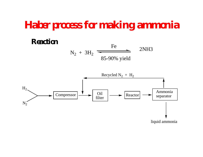#### **Haber process for making ammonia**

#### **Reaction**

 $N_2 + 3H_2$ Fe 2NH3 85-90% yield

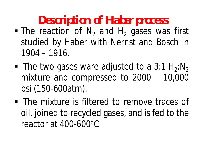## **Description of Haber process**

- $\blacksquare$  The reaction of  $N_2$  and  $H_2$  gases was first studied by Haber with Nernst and Bosch in 1904 – 1916.
- The two gases ware adjusted to a  $3:1 H_2:N_2$ mixture and compressed to 2000 – 10,000 psi (150-600atm).
- **The mixture is filtered to remove traces of** oil, joined to recycled gases, and is fed to the reactor at 400-600<sup>o</sup>C.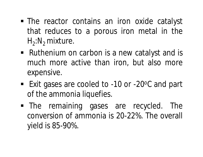- The reactor contains an iron oxide catalyst that reduces to a porous iron metal in the H<sub>2</sub>:N<sub>2</sub> mixture.
- Ruthenium on carbon is a new catalyst and is much more active than iron, but also more expensive.
- Exit gases are cooled to -10 or -20<sup>o</sup>C and part of the ammonia liquefies.
- The remaining gases are recycled. The conversion of ammonia is 20-22%. The overall yield is 85-90%.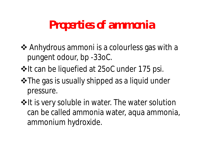#### **Properties of ammonia**

- **❖** Anhydrous ammoni is a colourless gas with a pungent odour, bp -33oC.
- $*$ **It can be liquefied at 25oC under 175 psi.**
- **\*** The gas is usually shipped as a liquid under pressure.
- $*$ **It is very soluble in water. The water solution** can be called ammonia water, aqua ammonia, ammonium hydroxide.